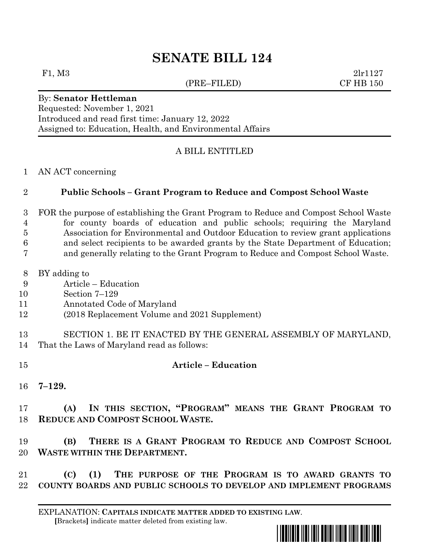# **SENATE BILL 124**

#### (PRE–FILED) CF HB 150

F1, M3 2lr1127

## By: **Senator Hettleman**

Requested: November 1, 2021 Introduced and read first time: January 12, 2022 Assigned to: Education, Health, and Environmental Affairs

### A BILL ENTITLED

#### AN ACT concerning

#### **Public Schools – Grant Program to Reduce and Compost School Waste**

 FOR the purpose of establishing the Grant Program to Reduce and Compost School Waste for county boards of education and public schools; requiring the Maryland Association for Environmental and Outdoor Education to review grant applications

- and select recipients to be awarded grants by the State Department of Education;
- and generally relating to the Grant Program to Reduce and Compost School Waste.
- BY adding to
- Article Education
- Section 7–129
- Annotated Code of Maryland
- (2018 Replacement Volume and 2021 Supplement)
- SECTION 1. BE IT ENACTED BY THE GENERAL ASSEMBLY OF MARYLAND, That the Laws of Maryland read as follows:
- **Article – Education**
- **7–129.**

 **(A) IN THIS SECTION, "PROGRAM" MEANS THE GRANT PROGRAM TO REDUCE AND COMPOST SCHOOL WASTE.**

 **(B) THERE IS A GRANT PROGRAM TO REDUCE AND COMPOST SCHOOL WASTE WITHIN THE DEPARTMENT.**

 **(C) (1) THE PURPOSE OF THE PROGRAM IS TO AWARD GRANTS TO COUNTY BOARDS AND PUBLIC SCHOOLS TO DEVELOP AND IMPLEMENT PROGRAMS** 

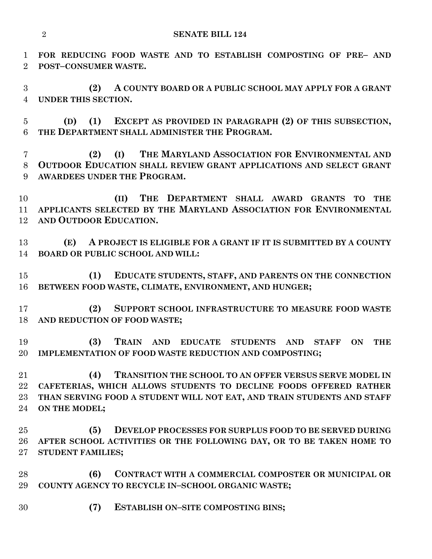**FOR REDUCING FOOD WASTE AND TO ESTABLISH COMPOSTING OF PRE– AND POST–CONSUMER WASTE.**

 **(2) A COUNTY BOARD OR A PUBLIC SCHOOL MAY APPLY FOR A GRANT UNDER THIS SECTION.**

 **(D) (1) EXCEPT AS PROVIDED IN PARAGRAPH (2) OF THIS SUBSECTION, THE DEPARTMENT SHALL ADMINISTER THE PROGRAM.**

 **(2) (I) THE MARYLAND ASSOCIATION FOR ENVIRONMENTAL AND OUTDOOR EDUCATION SHALL REVIEW GRANT APPLICATIONS AND SELECT GRANT AWARDEES UNDER THE PROGRAM.**

 **(II) THE DEPARTMENT SHALL AWARD GRANTS TO THE APPLICANTS SELECTED BY THE MARYLAND ASSOCIATION FOR ENVIRONMENTAL AND OUTDOOR EDUCATION.**

 **(E) A PROJECT IS ELIGIBLE FOR A GRANT IF IT IS SUBMITTED BY A COUNTY BOARD OR PUBLIC SCHOOL AND WILL:**

 **(1) EDUCATE STUDENTS, STAFF, AND PARENTS ON THE CONNECTION BETWEEN FOOD WASTE, CLIMATE, ENVIRONMENT, AND HUNGER;**

 **(2) SUPPORT SCHOOL INFRASTRUCTURE TO MEASURE FOOD WASTE AND REDUCTION OF FOOD WASTE;**

 **(3) TRAIN AND EDUCATE STUDENTS AND STAFF ON THE IMPLEMENTATION OF FOOD WASTE REDUCTION AND COMPOSTING;**

 **(4) TRANSITION THE SCHOOL TO AN OFFER VERSUS SERVE MODEL IN CAFETERIAS, WHICH ALLOWS STUDENTS TO DECLINE FOODS OFFERED RATHER THAN SERVING FOOD A STUDENT WILL NOT EAT, AND TRAIN STUDENTS AND STAFF ON THE MODEL;**

 **(5) DEVELOP PROCESSES FOR SURPLUS FOOD TO BE SERVED DURING AFTER SCHOOL ACTIVITIES OR THE FOLLOWING DAY, OR TO BE TAKEN HOME TO STUDENT FAMILIES;**

 **(6) CONTRACT WITH A COMMERCIAL COMPOSTER OR MUNICIPAL OR COUNTY AGENCY TO RECYCLE IN–SCHOOL ORGANIC WASTE;**

**(7) ESTABLISH ON–SITE COMPOSTING BINS;**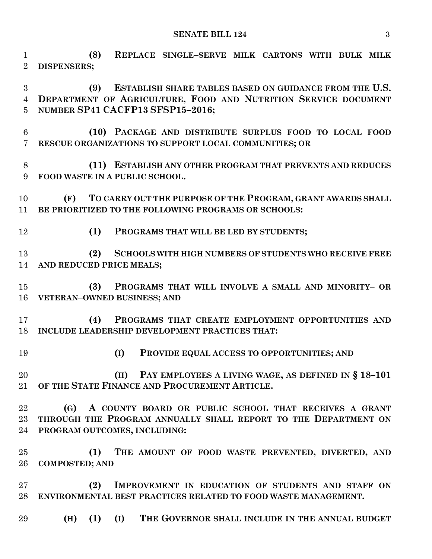**SENATE BILL 124** 3

 **(8) REPLACE SINGLE–SERVE MILK CARTONS WITH BULK MILK DISPENSERS;**

 **(9) ESTABLISH SHARE TABLES BASED ON GUIDANCE FROM THE U.S. DEPARTMENT OF AGRICULTURE, FOOD AND NUTRITION SERVICE DOCUMENT NUMBER SP41 CACFP13 SFSP15–2016;**

- **(10) PACKAGE AND DISTRIBUTE SURPLUS FOOD TO LOCAL FOOD RESCUE ORGANIZATIONS TO SUPPORT LOCAL COMMUNITIES; OR**
- **(11) ESTABLISH ANY OTHER PROGRAM THAT PREVENTS AND REDUCES FOOD WASTE IN A PUBLIC SCHOOL.**

 **(F) TO CARRY OUT THE PURPOSE OF THE PROGRAM, GRANT AWARDS SHALL BE PRIORITIZED TO THE FOLLOWING PROGRAMS OR SCHOOLS:**

**(1) PROGRAMS THAT WILL BE LED BY STUDENTS;**

 **(2) SCHOOLS WITH HIGH NUMBERS OF STUDENTS WHO RECEIVE FREE AND REDUCED PRICE MEALS;**

 **(3) PROGRAMS THAT WILL INVOLVE A SMALL AND MINORITY– OR VETERAN–OWNED BUSINESS; AND**

 **(4) PROGRAMS THAT CREATE EMPLOYMENT OPPORTUNITIES AND INCLUDE LEADERSHIP DEVELOPMENT PRACTICES THAT:**

- 
- **(I) PROVIDE EQUAL ACCESS TO OPPORTUNITIES; AND**

 **(II) PAY EMPLOYEES A LIVING WAGE, AS DEFINED IN § 18–101 OF THE STATE FINANCE AND PROCUREMENT ARTICLE.**

 **(G) A COUNTY BOARD OR PUBLIC SCHOOL THAT RECEIVES A GRANT THROUGH THE PROGRAM ANNUALLY SHALL REPORT TO THE DEPARTMENT ON PROGRAM OUTCOMES, INCLUDING:**

 **(1) THE AMOUNT OF FOOD WASTE PREVENTED, DIVERTED, AND COMPOSTED; AND**

 **(2) IMPROVEMENT IN EDUCATION OF STUDENTS AND STAFF ON ENVIRONMENTAL BEST PRACTICES RELATED TO FOOD WASTE MANAGEMENT.**

**(H) (1) (I) THE GOVERNOR SHALL INCLUDE IN THE ANNUAL BUDGET**